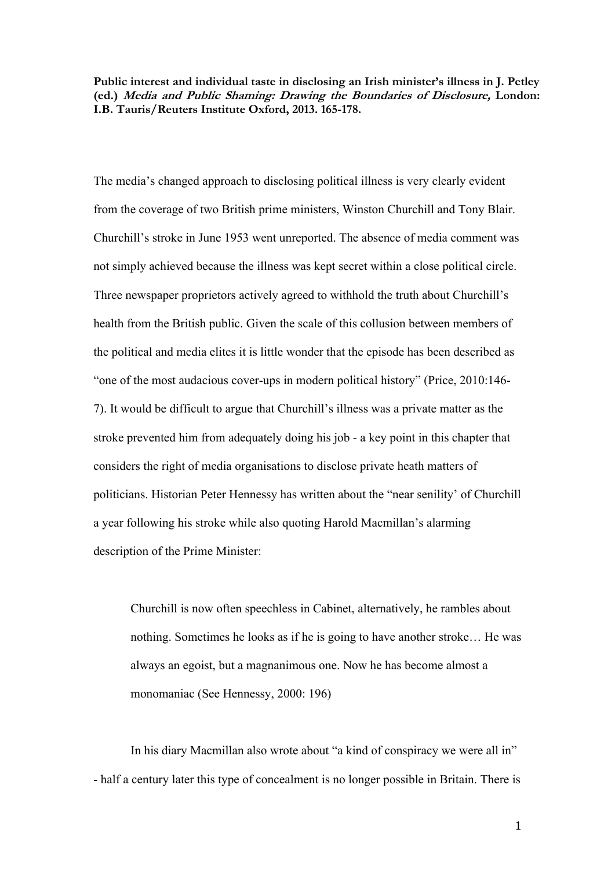**Public interest and individual taste in disclosing an Irish minister's illness in J. Petley (ed.) Media and Public Shaming: Drawing the Boundaries of Disclosure, London: I.B. Tauris/Reuters Institute Oxford, 2013. 165-178.**

The media's changed approach to disclosing political illness is very clearly evident from the coverage of two British prime ministers, Winston Churchill and Tony Blair. Churchill's stroke in June 1953 went unreported. The absence of media comment was not simply achieved because the illness was kept secret within a close political circle. Three newspaper proprietors actively agreed to withhold the truth about Churchill's health from the British public. Given the scale of this collusion between members of the political and media elites it is little wonder that the episode has been described as "one of the most audacious cover-ups in modern political history" (Price, 2010:146- 7). It would be difficult to argue that Churchill's illness was a private matter as the stroke prevented him from adequately doing his job - a key point in this chapter that considers the right of media organisations to disclose private heath matters of politicians. Historian Peter Hennessy has written about the "near senility' of Churchill a year following his stroke while also quoting Harold Macmillan's alarming description of the Prime Minister:

Churchill is now often speechless in Cabinet, alternatively, he rambles about nothing. Sometimes he looks as if he is going to have another stroke… He was always an egoist, but a magnanimous one. Now he has become almost a monomaniac (See Hennessy, 2000: 196)

In his diary Macmillan also wrote about "a kind of conspiracy we were all in" - half a century later this type of concealment is no longer possible in Britain. There is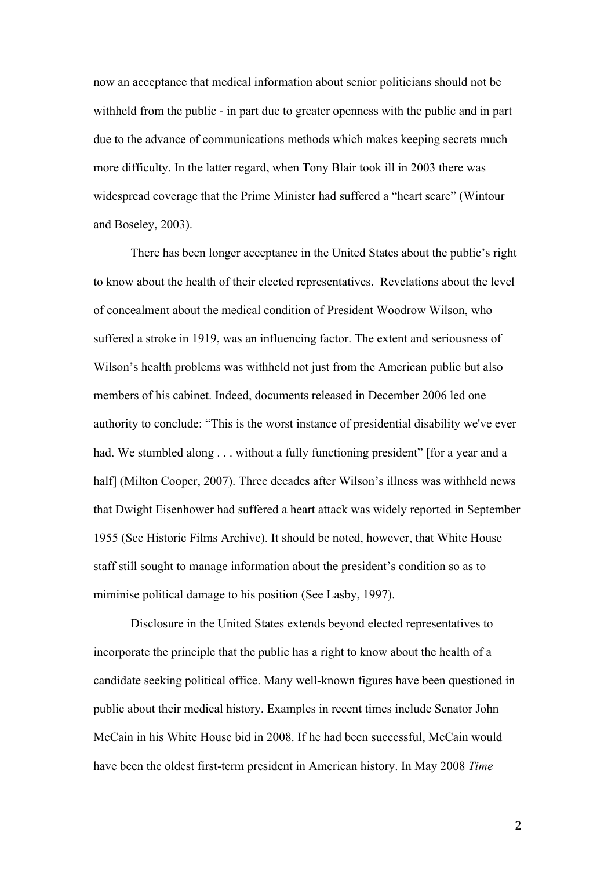now an acceptance that medical information about senior politicians should not be withheld from the public - in part due to greater openness with the public and in part due to the advance of communications methods which makes keeping secrets much more difficulty. In the latter regard, when Tony Blair took ill in 2003 there was widespread coverage that the Prime Minister had suffered a "heart scare" (Wintour and Boseley, 2003).

There has been longer acceptance in the United States about the public's right to know about the health of their elected representatives. Revelations about the level of concealment about the medical condition of President Woodrow Wilson, who suffered a stroke in 1919, was an influencing factor. The extent and seriousness of Wilson's health problems was withheld not just from the American public but also members of his cabinet. Indeed, documents released in December 2006 led one authority to conclude: "This is the worst instance of presidential disability we've ever had. We stumbled along . . . without a fully functioning president" [for a year and a half] (Milton Cooper, 2007). Three decades after Wilson's illness was withheld news that Dwight Eisenhower had suffered a heart attack was widely reported in September 1955 (See Historic Films Archive). It should be noted, however, that White House staff still sought to manage information about the president's condition so as to miminise political damage to his position (See Lasby, 1997).

Disclosure in the United States extends beyond elected representatives to incorporate the principle that the public has a right to know about the health of a candidate seeking political office. Many well-known figures have been questioned in public about their medical history. Examples in recent times include Senator John McCain in his White House bid in 2008. If he had been successful, McCain would have been the oldest first-term president in American history. In May 2008 *Time*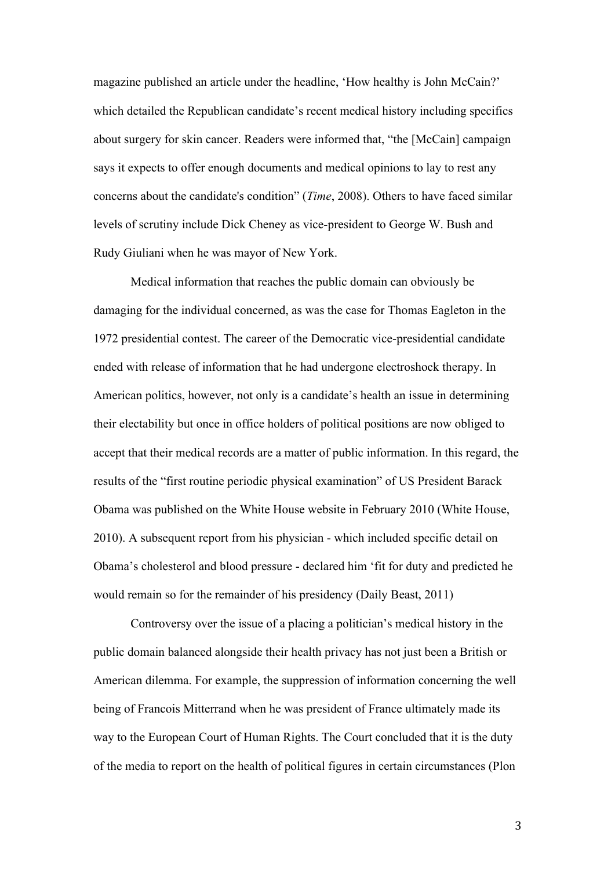magazine published an article under the headline, 'How healthy is John McCain?' which detailed the Republican candidate's recent medical history including specifics about surgery for skin cancer. Readers were informed that, "the [McCain] campaign says it expects to offer enough documents and medical opinions to lay to rest any concerns about the candidate's condition" (*Time*, 2008). Others to have faced similar levels of scrutiny include Dick Cheney as vice-president to George W. Bush and Rudy Giuliani when he was mayor of New York.

Medical information that reaches the public domain can obviously be damaging for the individual concerned, as was the case for Thomas Eagleton in the 1972 presidential contest. The career of the Democratic vice-presidential candidate ended with release of information that he had undergone electroshock therapy. In American politics, however, not only is a candidate's health an issue in determining their electability but once in office holders of political positions are now obliged to accept that their medical records are a matter of public information. In this regard, the results of the "first routine periodic physical examination" of US President Barack Obama was published on the White House website in February 2010 (White House, 2010). A subsequent report from his physician - which included specific detail on Obama's cholesterol and blood pressure - declared him 'fit for duty and predicted he would remain so for the remainder of his presidency (Daily Beast, 2011)

Controversy over the issue of a placing a politician's medical history in the public domain balanced alongside their health privacy has not just been a British or American dilemma. For example, the suppression of information concerning the well being of Francois Mitterrand when he was president of France ultimately made its way to the European Court of Human Rights. The Court concluded that it is the duty of the media to report on the health of political figures in certain circumstances (Plon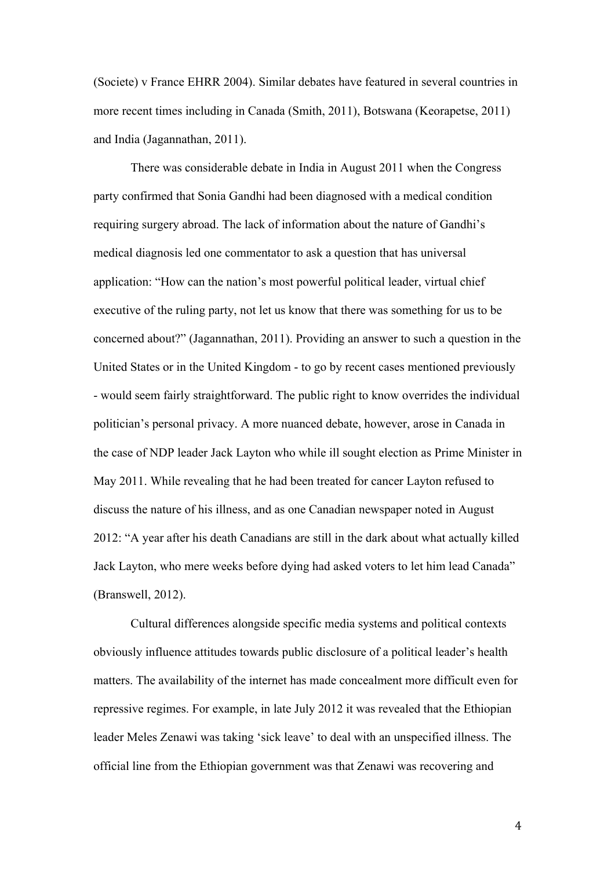(Societe) v France EHRR 2004). Similar debates have featured in several countries in more recent times including in Canada (Smith, 2011), Botswana (Keorapetse, 2011) and India (Jagannathan, 2011).

There was considerable debate in India in August 2011 when the Congress party confirmed that Sonia Gandhi had been diagnosed with a medical condition requiring surgery abroad. The lack of information about the nature of Gandhi's medical diagnosis led one commentator to ask a question that has universal application: "How can the nation's most powerful political leader, virtual chief executive of the ruling party, not let us know that there was something for us to be concerned about?" (Jagannathan, 2011). Providing an answer to such a question in the United States or in the United Kingdom - to go by recent cases mentioned previously - would seem fairly straightforward. The public right to know overrides the individual politician's personal privacy. A more nuanced debate, however, arose in Canada in the case of NDP leader Jack Layton who while ill sought election as Prime Minister in May 2011. While revealing that he had been treated for cancer Layton refused to discuss the nature of his illness, and as one Canadian newspaper noted in August 2012: "A year after his death Canadians are still in the dark about what actually killed Jack Layton, who mere weeks before dying had asked voters to let him lead Canada" (Branswell, 2012).

Cultural differences alongside specific media systems and political contexts obviously influence attitudes towards public disclosure of a political leader's health matters. The availability of the internet has made concealment more difficult even for repressive regimes. For example, in late July 2012 it was revealed that the Ethiopian leader Meles Zenawi was taking 'sick leave' to deal with an unspecified illness. The official line from the Ethiopian government was that Zenawi was recovering and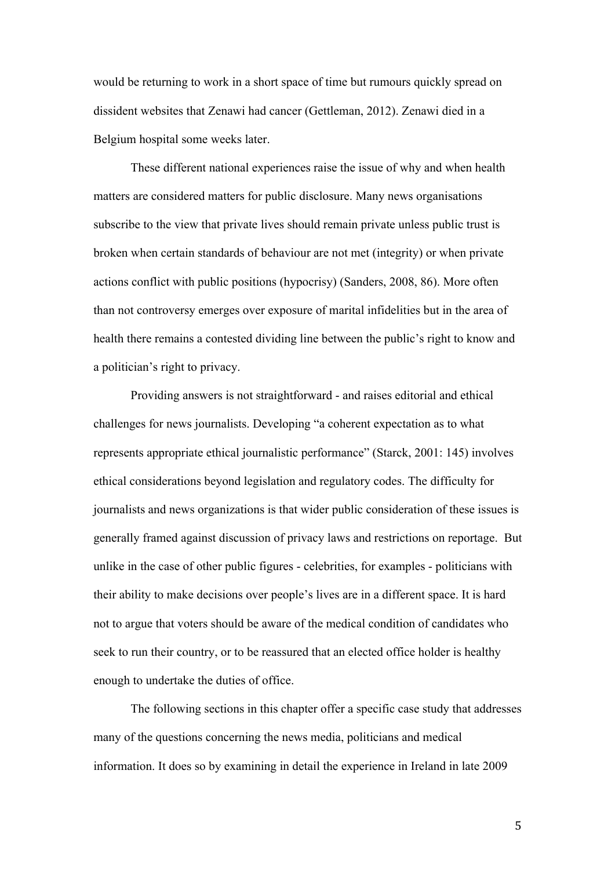would be returning to work in a short space of time but rumours quickly spread on dissident websites that Zenawi had cancer (Gettleman, 2012). Zenawi died in a Belgium hospital some weeks later.

These different national experiences raise the issue of why and when health matters are considered matters for public disclosure. Many news organisations subscribe to the view that private lives should remain private unless public trust is broken when certain standards of behaviour are not met (integrity) or when private actions conflict with public positions (hypocrisy) (Sanders, 2008, 86). More often than not controversy emerges over exposure of marital infidelities but in the area of health there remains a contested dividing line between the public's right to know and a politician's right to privacy.

Providing answers is not straightforward - and raises editorial and ethical challenges for news journalists. Developing "a coherent expectation as to what represents appropriate ethical journalistic performance" (Starck, 2001: 145) involves ethical considerations beyond legislation and regulatory codes. The difficulty for journalists and news organizations is that wider public consideration of these issues is generally framed against discussion of privacy laws and restrictions on reportage. But unlike in the case of other public figures - celebrities, for examples - politicians with their ability to make decisions over people's lives are in a different space. It is hard not to argue that voters should be aware of the medical condition of candidates who seek to run their country, or to be reassured that an elected office holder is healthy enough to undertake the duties of office.

The following sections in this chapter offer a specific case study that addresses many of the questions concerning the news media, politicians and medical information. It does so by examining in detail the experience in Ireland in late 2009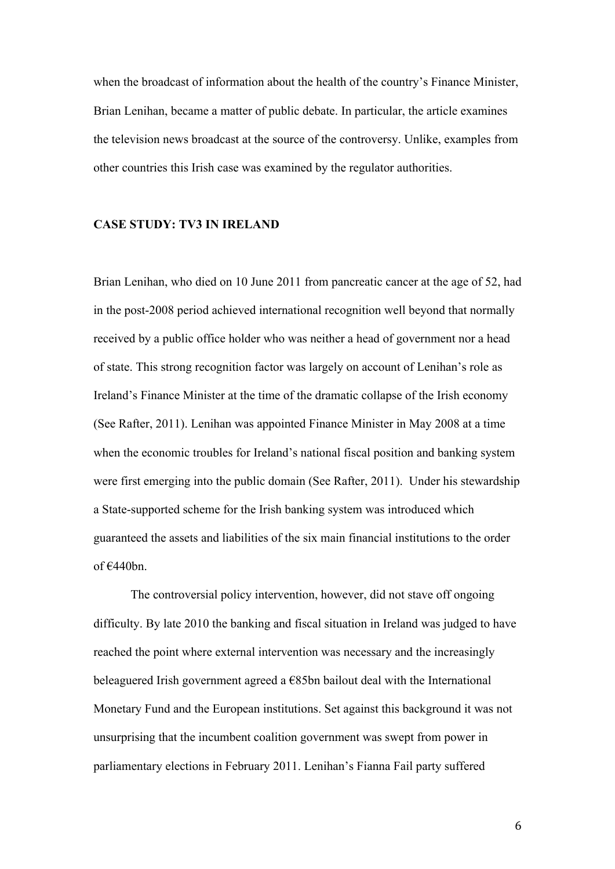when the broadcast of information about the health of the country's Finance Minister, Brian Lenihan, became a matter of public debate. In particular, the article examines the television news broadcast at the source of the controversy. Unlike, examples from other countries this Irish case was examined by the regulator authorities.

## **CASE STUDY: TV3 IN IRELAND**

Brian Lenihan, who died on 10 June 2011 from pancreatic cancer at the age of 52, had in the post-2008 period achieved international recognition well beyond that normally received by a public office holder who was neither a head of government nor a head of state. This strong recognition factor was largely on account of Lenihan's role as Ireland's Finance Minister at the time of the dramatic collapse of the Irish economy (See Rafter, 2011). Lenihan was appointed Finance Minister in May 2008 at a time when the economic troubles for Ireland's national fiscal position and banking system were first emerging into the public domain (See Rafter, 2011). Under his stewardship a State-supported scheme for the Irish banking system was introduced which guaranteed the assets and liabilities of the six main financial institutions to the order of  $€440bn$ .

The controversial policy intervention, however, did not stave off ongoing difficulty. By late 2010 the banking and fiscal situation in Ireland was judged to have reached the point where external intervention was necessary and the increasingly beleaguered Irish government agreed a  $\epsilon$ 85bn bailout deal with the International Monetary Fund and the European institutions. Set against this background it was not unsurprising that the incumbent coalition government was swept from power in parliamentary elections in February 2011. Lenihan's Fianna Fail party suffered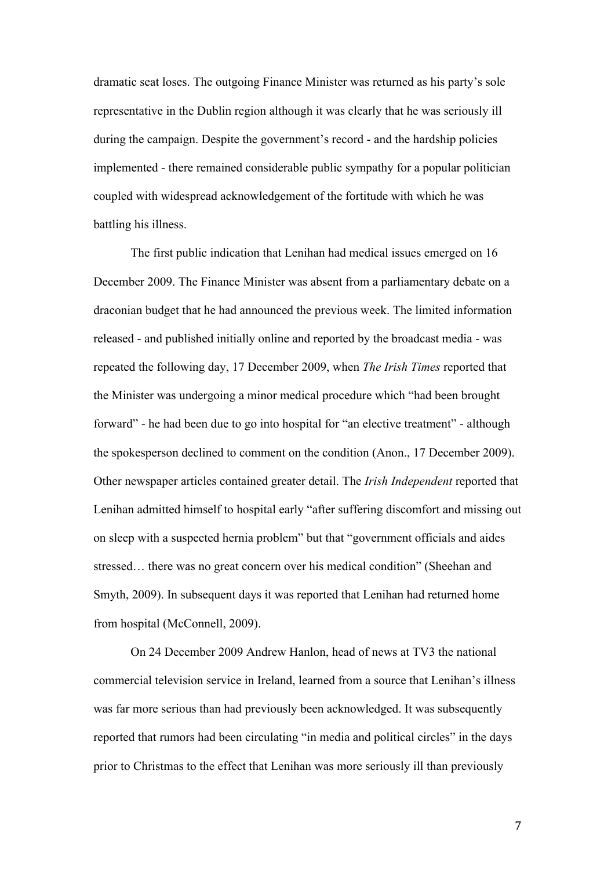dramatic seat loses. The outgoing Finance Minister was returned as his party's sole representative in the Dublin region although it was clearly that he was seriously ill during the campaign. Despite the government's record - and the hardship policies implemented - there remained considerable public sympathy for a popular politician coupled with widespread acknowledgement of the fortitude with which he was battling his illness.

The first public indication that Lenihan had medical issues emerged on 16 December 2009. The Finance Minister was absent from a parliamentary debate on a draconian budget that he had announced the previous week. The limited information released - and published initially online and reported by the broadcast media - was repeated the following day, 17 December 2009, when *The Irish Times* reported that the Minister was undergoing a minor medical procedure which "had been brought forward" - he had been due to go into hospital for "an elective treatment" - although the spokesperson declined to comment on the condition (Anon., 17 December 2009). Other newspaper articles contained greater detail. The *Irish Independent* reported that Lenihan admitted himself to hospital early "after suffering discomfort and missing out on sleep with a suspected hernia problem" but that "government officials and aides stressed… there was no great concern over his medical condition" (Sheehan and Smyth, 2009). In subsequent days it was reported that Lenihan had returned home from hospital (McConnell, 2009).

On 24 December 2009 Andrew Hanlon, head of news at TV3 the national commercial television service in Ireland, learned from a source that Lenihan's illness was far more serious than had previously been acknowledged. It was subsequently reported that rumors had been circulating "in media and political circles" in the days prior to Christmas to the effect that Lenihan was more seriously ill than previously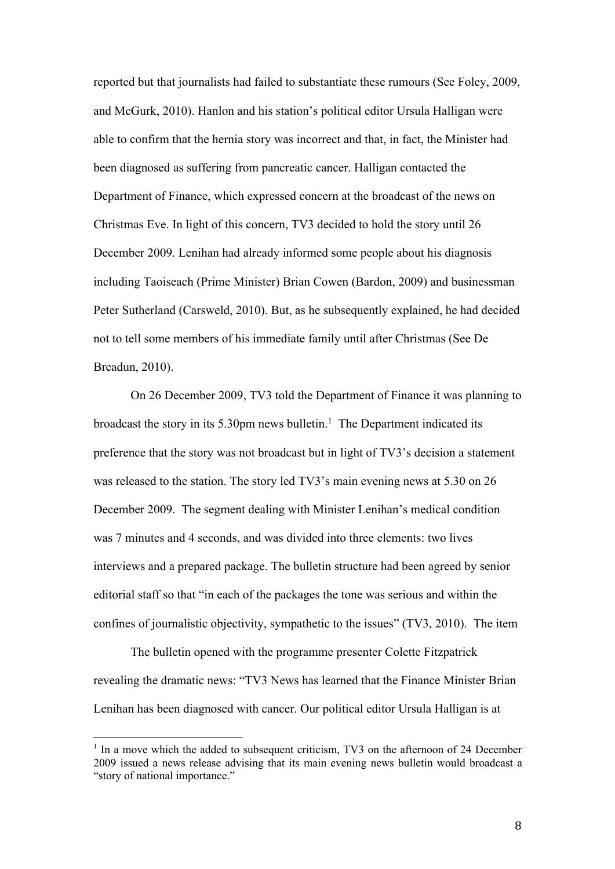reported but that journalists had failed to substantiate these rumours (See Foley, 2009, and McGurk, 2010). Hanlon and his station's political editor Ursula Halligan were able to confirm that the hernia story was incorrect and that, in fact, the Minister had been diagnosed as suffering from pancreatic cancer. Halligan contacted the Department of Finance, which expressed concern at the broadcast of the news on Christmas Eve. In light of this concern, TV3 decided to hold the story until 26 December 2009. Lenihan had already informed some people about his diagnosis including Taoiseach (Prime Minister) Brian Cowen (Bardon, 2009) and businessman Peter Sutherland (Carsweld, 2010). But, as he subsequently explained, he had decided not to tell some members of his immediate family until after Christmas (See De Breadun, 2010).

On 26 December 2009, TV3 told the Department of Finance it was planning to broadcast the story in its  $5.30$ pm news bulletin.<sup>1</sup> The Department indicated its preference that the story was not broadcast but in light of TV3's decision a statement was released to the station. The story led TV3's main evening news at 5.30 on 26 December 2009. The segment dealing with Minister Lenihan's medical condition was 7 minutes and 4 seconds, and was divided into three elements: two lives interviews and a prepared package. The bulletin structure had been agreed by senior editorial staff so that "in each of the packages the tone was serious and within the confines of journalistic objectivity, sympathetic to the issues" (TV3, 2010). The item

The bulletin opened with the programme presenter Colette Fitzpatrick revealing the dramatic news: "TV3 News has learned that the Finance Minister Brian Lenihan has been diagnosed with cancer. Our political editor Ursula Halligan is at

 $1$  In a move which the added to subsequent criticism, TV3 on the afternoon of 24 December 2009 issued a news release advising that its main evening news bulletin would broadcast a "story of national importance."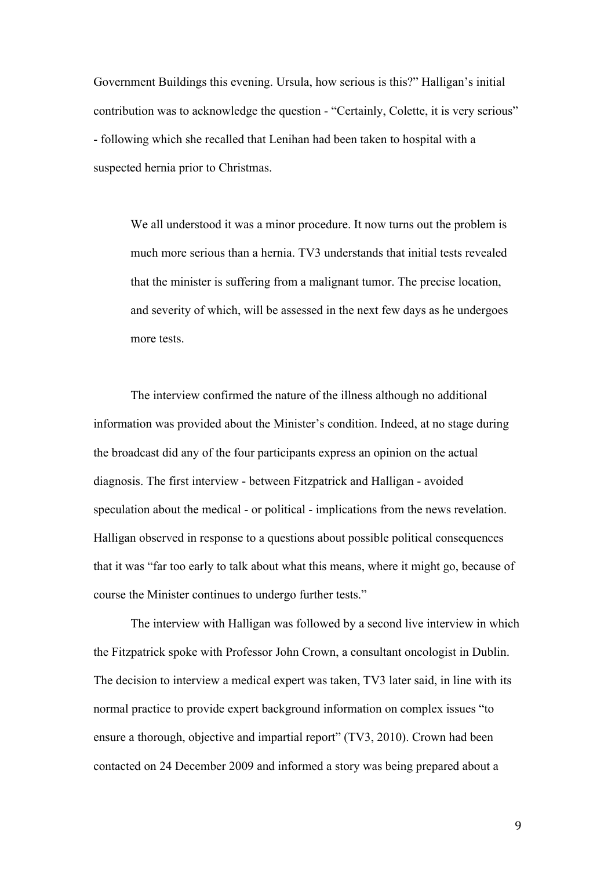Government Buildings this evening. Ursula, how serious is this?" Halligan's initial contribution was to acknowledge the question - "Certainly, Colette, it is very serious" - following which she recalled that Lenihan had been taken to hospital with a suspected hernia prior to Christmas.

We all understood it was a minor procedure. It now turns out the problem is much more serious than a hernia. TV3 understands that initial tests revealed that the minister is suffering from a malignant tumor. The precise location, and severity of which, will be assessed in the next few days as he undergoes more tests.

The interview confirmed the nature of the illness although no additional information was provided about the Minister's condition. Indeed, at no stage during the broadcast did any of the four participants express an opinion on the actual diagnosis. The first interview - between Fitzpatrick and Halligan - avoided speculation about the medical - or political - implications from the news revelation. Halligan observed in response to a questions about possible political consequences that it was "far too early to talk about what this means, where it might go, because of course the Minister continues to undergo further tests."

The interview with Halligan was followed by a second live interview in which the Fitzpatrick spoke with Professor John Crown, a consultant oncologist in Dublin. The decision to interview a medical expert was taken, TV3 later said, in line with its normal practice to provide expert background information on complex issues "to ensure a thorough, objective and impartial report" (TV3, 2010). Crown had been contacted on 24 December 2009 and informed a story was being prepared about a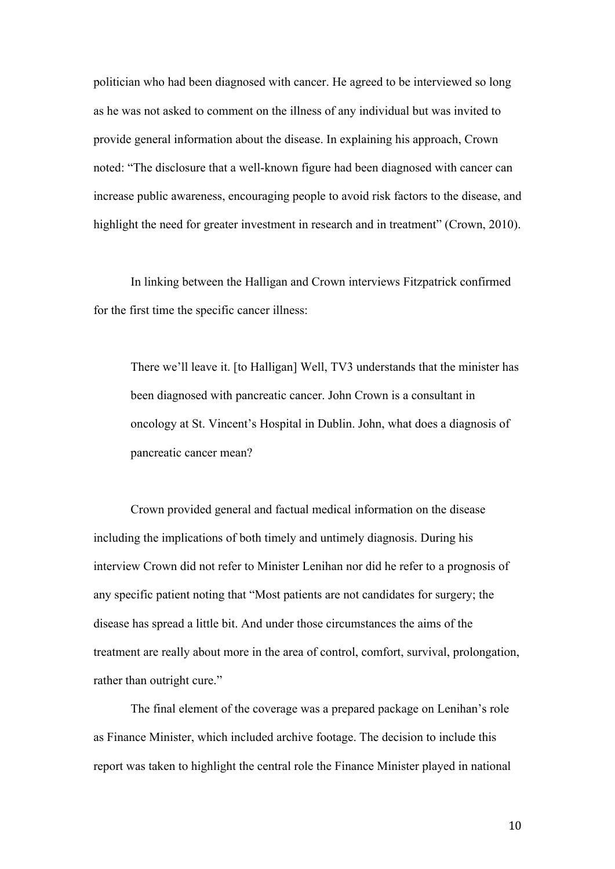politician who had been diagnosed with cancer. He agreed to be interviewed so long as he was not asked to comment on the illness of any individual but was invited to provide general information about the disease. In explaining his approach, Crown noted: "The disclosure that a well-known figure had been diagnosed with cancer can increase public awareness, encouraging people to avoid risk factors to the disease, and highlight the need for greater investment in research and in treatment" (Crown, 2010).

In linking between the Halligan and Crown interviews Fitzpatrick confirmed for the first time the specific cancer illness:

There we'll leave it. [to Halligan] Well, TV3 understands that the minister has been diagnosed with pancreatic cancer. John Crown is a consultant in oncology at St. Vincent's Hospital in Dublin. John, what does a diagnosis of pancreatic cancer mean?

Crown provided general and factual medical information on the disease including the implications of both timely and untimely diagnosis. During his interview Crown did not refer to Minister Lenihan nor did he refer to a prognosis of any specific patient noting that "Most patients are not candidates for surgery; the disease has spread a little bit. And under those circumstances the aims of the treatment are really about more in the area of control, comfort, survival, prolongation, rather than outright cure."

The final element of the coverage was a prepared package on Lenihan's role as Finance Minister, which included archive footage. The decision to include this report was taken to highlight the central role the Finance Minister played in national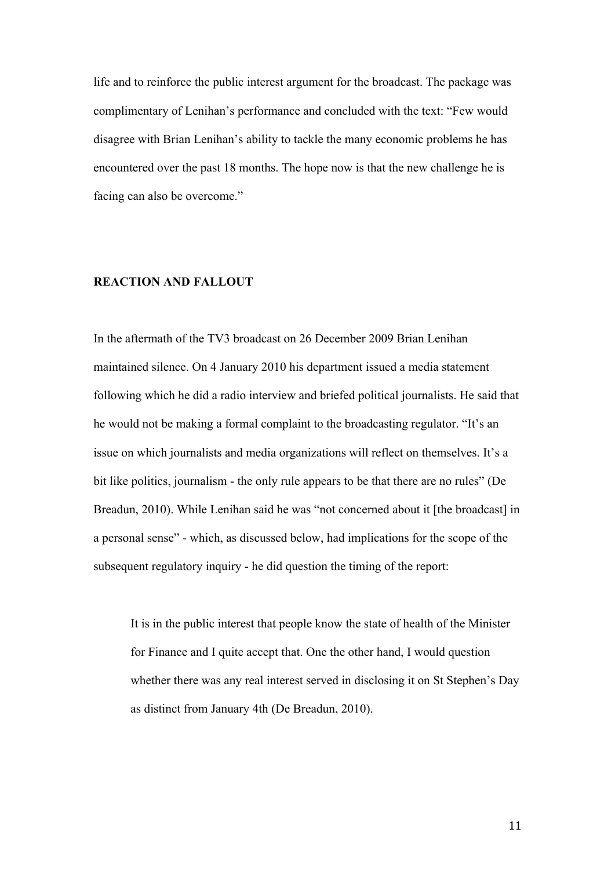life and to reinforce the public interest argument for the broadcast. The package was complimentary of Lenihan's performance and concluded with the text: "Few would disagree with Brian Lenihan's ability to tackle the many economic problems he has encountered over the past 18 months. The hope now is that the new challenge he is facing can also be overcome."

### **REACTION AND FALLOUT**

In the aftermath of the TV3 broadcast on 26 December 2009 Brian Lenihan maintained silence. On 4 January 2010 his department issued a media statement following which he did a radio interview and briefed political journalists. He said that he would not be making a formal complaint to the broadcasting regulator. "It's an issue on which journalists and media organizations will reflect on themselves. It's a bit like politics, journalism - the only rule appears to be that there are no rules" (De Breadun, 2010). While Lenihan said he was "not concerned about it [the broadcast] in a personal sense" - which, as discussed below, had implications for the scope of the subsequent regulatory inquiry - he did question the timing of the report:

It is in the public interest that people know the state of health of the Minister for Finance and I quite accept that. One the other hand, I would question whether there was any real interest served in disclosing it on St Stephen's Day as distinct from January 4th (De Breadun, 2010).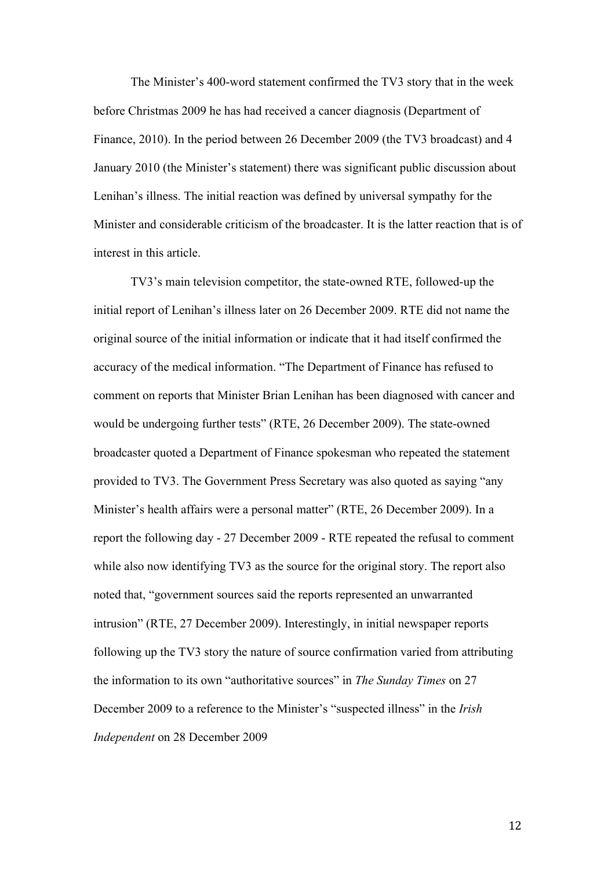The Minister's 400-word statement confirmed the TV3 story that in the week before Christmas 2009 he has had received a cancer diagnosis (Department of Finance, 2010). In the period between 26 December 2009 (the TV3 broadcast) and 4 January 2010 (the Minister's statement) there was significant public discussion about Lenihan's illness. The initial reaction was defined by universal sympathy for the Minister and considerable criticism of the broadcaster. It is the latter reaction that is of interest in this article.

TV3's main television competitor, the state-owned RTE, followed-up the initial report of Lenihan's illness later on 26 December 2009. RTE did not name the original source of the initial information or indicate that it had itself confirmed the accuracy of the medical information. "The Department of Finance has refused to comment on reports that Minister Brian Lenihan has been diagnosed with cancer and would be undergoing further tests" (RTE, 26 December 2009). The state-owned broadcaster quoted a Department of Finance spokesman who repeated the statement provided to TV3. The Government Press Secretary was also quoted as saying "any Minister's health affairs were a personal matter" (RTE, 26 December 2009). In a report the following day - 27 December 2009 - RTE repeated the refusal to comment while also now identifying TV3 as the source for the original story. The report also noted that, "government sources said the reports represented an unwarranted intrusion" (RTE, 27 December 2009). Interestingly, in initial newspaper reports following up the TV3 story the nature of source confirmation varied from attributing the information to its own "authoritative sources" in *The Sunday Times* on 27 December 2009 to a reference to the Minister's "suspected illness" in the *Irish Independent* on 28 December 2009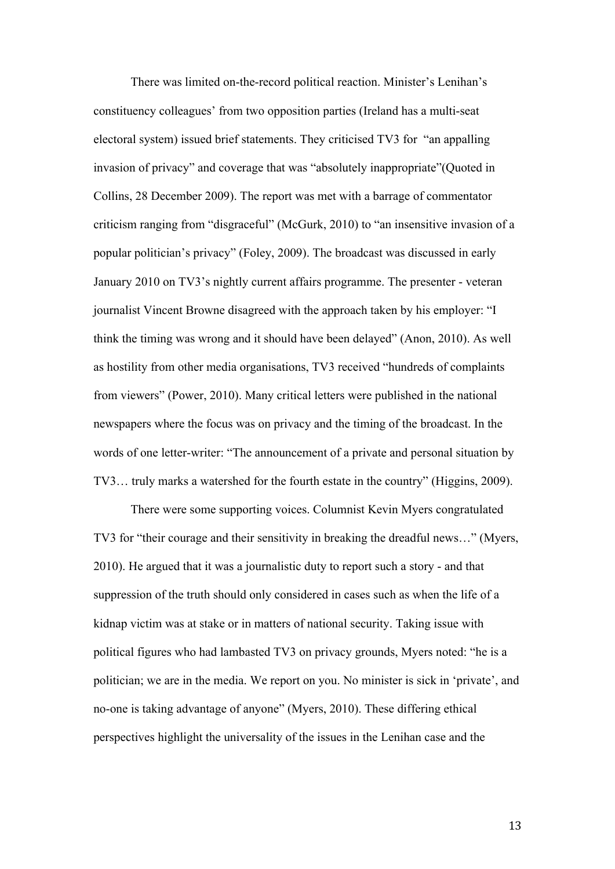There was limited on-the-record political reaction. Minister's Lenihan's constituency colleagues' from two opposition parties (Ireland has a multi-seat electoral system) issued brief statements. They criticised TV3 for "an appalling invasion of privacy" and coverage that was "absolutely inappropriate"(Quoted in Collins, 28 December 2009). The report was met with a barrage of commentator criticism ranging from "disgraceful" (McGurk, 2010) to "an insensitive invasion of a popular politician's privacy" (Foley, 2009). The broadcast was discussed in early January 2010 on TV3's nightly current affairs programme. The presenter - veteran journalist Vincent Browne disagreed with the approach taken by his employer: "I think the timing was wrong and it should have been delayed" (Anon, 2010). As well as hostility from other media organisations, TV3 received "hundreds of complaints from viewers" (Power, 2010). Many critical letters were published in the national newspapers where the focus was on privacy and the timing of the broadcast. In the words of one letter-writer: "The announcement of a private and personal situation by TV3… truly marks a watershed for the fourth estate in the country" (Higgins, 2009).

There were some supporting voices. Columnist Kevin Myers congratulated TV3 for "their courage and their sensitivity in breaking the dreadful news…" (Myers, 2010). He argued that it was a journalistic duty to report such a story - and that suppression of the truth should only considered in cases such as when the life of a kidnap victim was at stake or in matters of national security. Taking issue with political figures who had lambasted TV3 on privacy grounds, Myers noted: "he is a politician; we are in the media. We report on you. No minister is sick in 'private', and no-one is taking advantage of anyone" (Myers, 2010). These differing ethical perspectives highlight the universality of the issues in the Lenihan case and the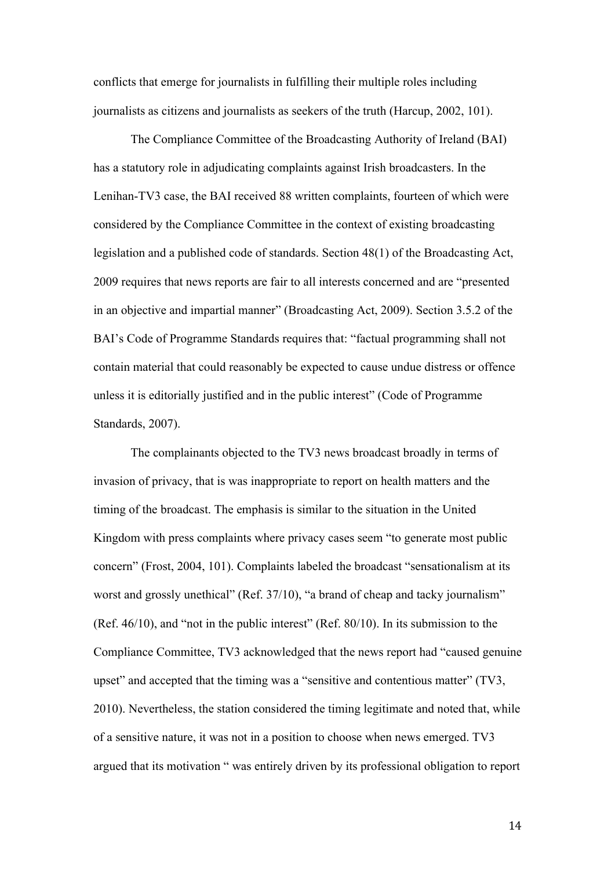conflicts that emerge for journalists in fulfilling their multiple roles including journalists as citizens and journalists as seekers of the truth (Harcup, 2002, 101).

The Compliance Committee of the Broadcasting Authority of Ireland (BAI) has a statutory role in adjudicating complaints against Irish broadcasters. In the Lenihan-TV3 case, the BAI received 88 written complaints, fourteen of which were considered by the Compliance Committee in the context of existing broadcasting legislation and a published code of standards. Section 48(1) of the Broadcasting Act, 2009 requires that news reports are fair to all interests concerned and are "presented in an objective and impartial manner" (Broadcasting Act, 2009). Section 3.5.2 of the BAI's Code of Programme Standards requires that: "factual programming shall not contain material that could reasonably be expected to cause undue distress or offence unless it is editorially justified and in the public interest" (Code of Programme Standards, 2007).

The complainants objected to the TV3 news broadcast broadly in terms of invasion of privacy, that is was inappropriate to report on health matters and the timing of the broadcast. The emphasis is similar to the situation in the United Kingdom with press complaints where privacy cases seem "to generate most public concern" (Frost, 2004, 101). Complaints labeled the broadcast "sensationalism at its worst and grossly unethical" (Ref. 37/10), "a brand of cheap and tacky journalism" (Ref. 46/10), and "not in the public interest" (Ref. 80/10). In its submission to the Compliance Committee, TV3 acknowledged that the news report had "caused genuine upset" and accepted that the timing was a "sensitive and contentious matter" (TV3, 2010). Nevertheless, the station considered the timing legitimate and noted that, while of a sensitive nature, it was not in a position to choose when news emerged. TV3 argued that its motivation " was entirely driven by its professional obligation to report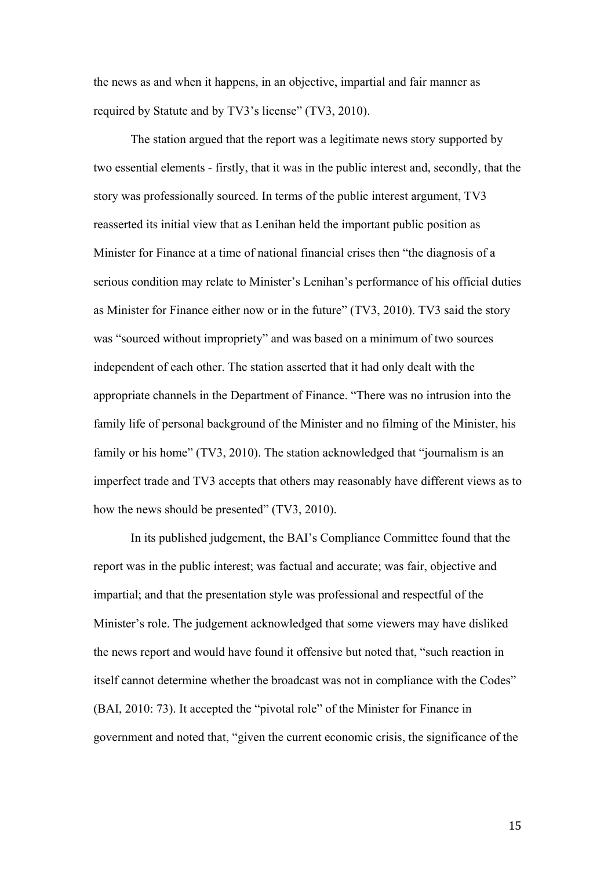the news as and when it happens, in an objective, impartial and fair manner as required by Statute and by TV3's license" (TV3, 2010).

The station argued that the report was a legitimate news story supported by two essential elements - firstly, that it was in the public interest and, secondly, that the story was professionally sourced. In terms of the public interest argument, TV3 reasserted its initial view that as Lenihan held the important public position as Minister for Finance at a time of national financial crises then "the diagnosis of a serious condition may relate to Minister's Lenihan's performance of his official duties as Minister for Finance either now or in the future" (TV3, 2010). TV3 said the story was "sourced without impropriety" and was based on a minimum of two sources independent of each other. The station asserted that it had only dealt with the appropriate channels in the Department of Finance. "There was no intrusion into the family life of personal background of the Minister and no filming of the Minister, his family or his home" (TV3, 2010). The station acknowledged that "journalism is an imperfect trade and TV3 accepts that others may reasonably have different views as to how the news should be presented" (TV3, 2010).

In its published judgement, the BAI's Compliance Committee found that the report was in the public interest; was factual and accurate; was fair, objective and impartial; and that the presentation style was professional and respectful of the Minister's role. The judgement acknowledged that some viewers may have disliked the news report and would have found it offensive but noted that, "such reaction in itself cannot determine whether the broadcast was not in compliance with the Codes" (BAI, 2010: 73). It accepted the "pivotal role" of the Minister for Finance in government and noted that, "given the current economic crisis, the significance of the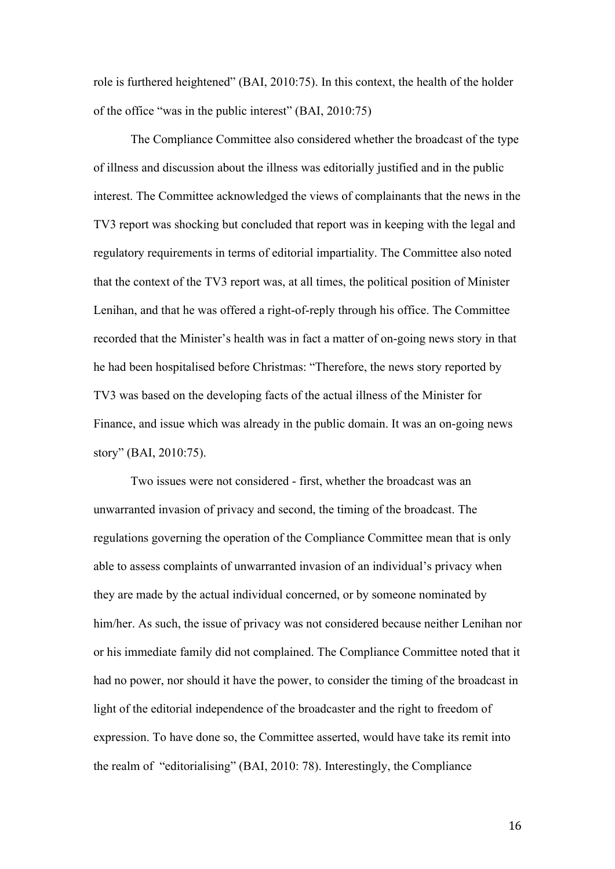role is furthered heightened" (BAI, 2010:75). In this context, the health of the holder of the office "was in the public interest" (BAI, 2010:75)

The Compliance Committee also considered whether the broadcast of the type of illness and discussion about the illness was editorially justified and in the public interest. The Committee acknowledged the views of complainants that the news in the TV3 report was shocking but concluded that report was in keeping with the legal and regulatory requirements in terms of editorial impartiality. The Committee also noted that the context of the TV3 report was, at all times, the political position of Minister Lenihan, and that he was offered a right-of-reply through his office. The Committee recorded that the Minister's health was in fact a matter of on-going news story in that he had been hospitalised before Christmas: "Therefore, the news story reported by TV3 was based on the developing facts of the actual illness of the Minister for Finance, and issue which was already in the public domain. It was an on-going news story" (BAI, 2010:75).

Two issues were not considered - first, whether the broadcast was an unwarranted invasion of privacy and second, the timing of the broadcast. The regulations governing the operation of the Compliance Committee mean that is only able to assess complaints of unwarranted invasion of an individual's privacy when they are made by the actual individual concerned, or by someone nominated by him/her. As such, the issue of privacy was not considered because neither Lenihan nor or his immediate family did not complained. The Compliance Committee noted that it had no power, nor should it have the power, to consider the timing of the broadcast in light of the editorial independence of the broadcaster and the right to freedom of expression. To have done so, the Committee asserted, would have take its remit into the realm of "editorialising" (BAI, 2010: 78). Interestingly, the Compliance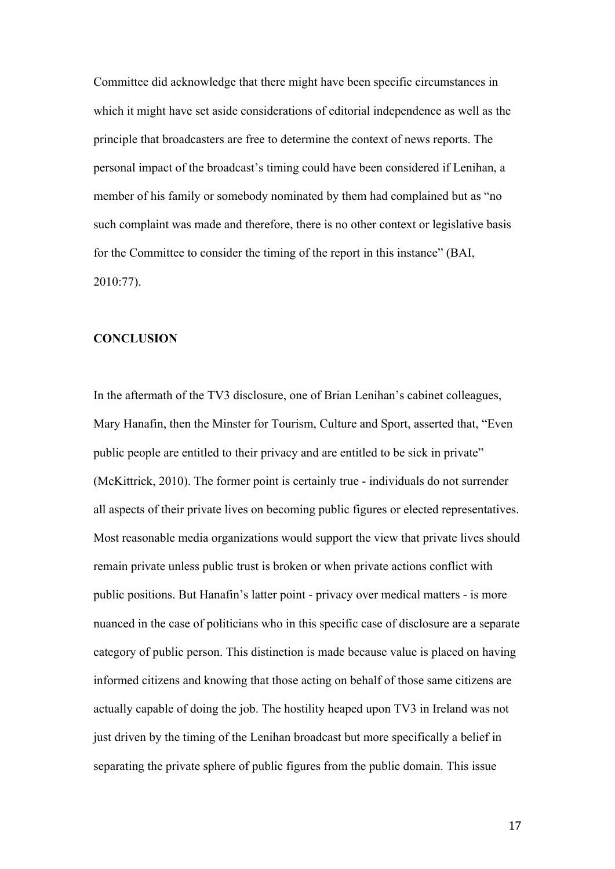Committee did acknowledge that there might have been specific circumstances in which it might have set aside considerations of editorial independence as well as the principle that broadcasters are free to determine the context of news reports. The personal impact of the broadcast's timing could have been considered if Lenihan, a member of his family or somebody nominated by them had complained but as "no such complaint was made and therefore, there is no other context or legislative basis for the Committee to consider the timing of the report in this instance" (BAI, 2010:77).

#### **CONCLUSION**

In the aftermath of the TV3 disclosure, one of Brian Lenihan's cabinet colleagues, Mary Hanafin, then the Minster for Tourism, Culture and Sport, asserted that, "Even public people are entitled to their privacy and are entitled to be sick in private" (McKittrick, 2010). The former point is certainly true - individuals do not surrender all aspects of their private lives on becoming public figures or elected representatives. Most reasonable media organizations would support the view that private lives should remain private unless public trust is broken or when private actions conflict with public positions. But Hanafin's latter point - privacy over medical matters - is more nuanced in the case of politicians who in this specific case of disclosure are a separate category of public person. This distinction is made because value is placed on having informed citizens and knowing that those acting on behalf of those same citizens are actually capable of doing the job. The hostility heaped upon TV3 in Ireland was not just driven by the timing of the Lenihan broadcast but more specifically a belief in separating the private sphere of public figures from the public domain. This issue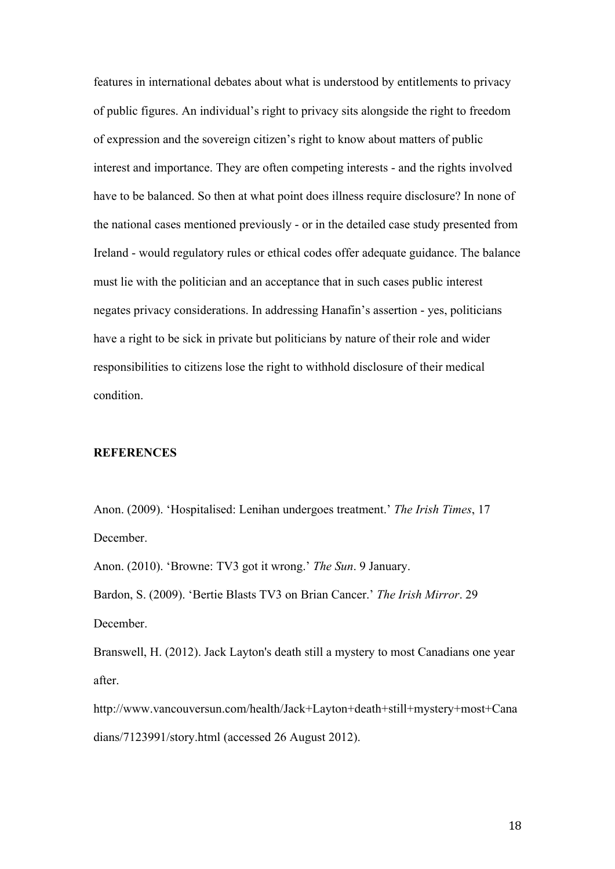features in international debates about what is understood by entitlements to privacy of public figures. An individual's right to privacy sits alongside the right to freedom of expression and the sovereign citizen's right to know about matters of public interest and importance. They are often competing interests - and the rights involved have to be balanced. So then at what point does illness require disclosure? In none of the national cases mentioned previously - or in the detailed case study presented from Ireland - would regulatory rules or ethical codes offer adequate guidance. The balance must lie with the politician and an acceptance that in such cases public interest negates privacy considerations. In addressing Hanafin's assertion - yes, politicians have a right to be sick in private but politicians by nature of their role and wider responsibilities to citizens lose the right to withhold disclosure of their medical condition.

#### **REFERENCES**

Anon. (2009). 'Hospitalised: Lenihan undergoes treatment.' *The Irish Times*, 17 December.

Anon. (2010). 'Browne: TV3 got it wrong.' *The Sun*. 9 January.

Bardon, S. (2009). 'Bertie Blasts TV3 on Brian Cancer.' *The Irish Mirror*. 29 December.

Branswell, H. (2012). Jack Layton's death still a mystery to most Canadians one year after.

http://www.vancouversun.com/health/Jack+Layton+death+still+mystery+most+Cana dians/7123991/story.html (accessed 26 August 2012).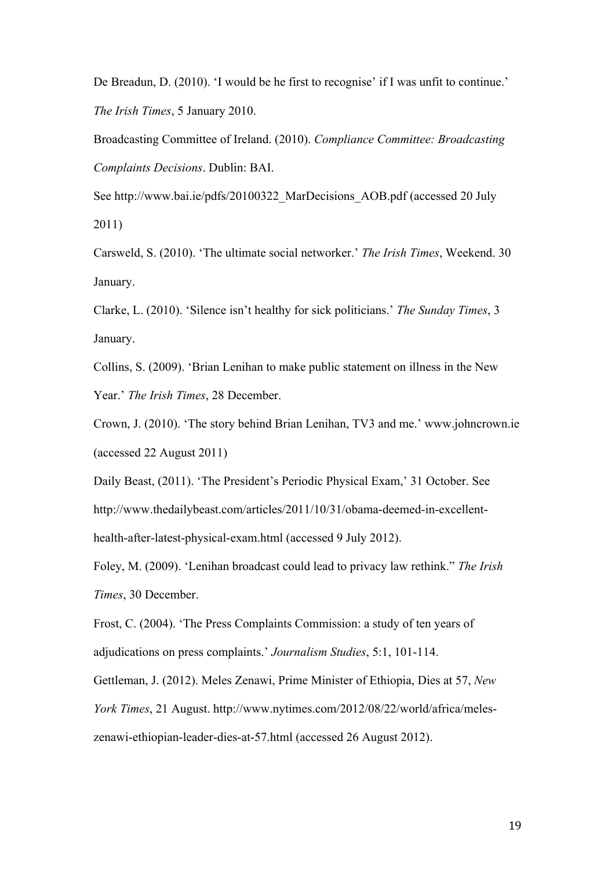De Breadun, D. (2010). 'I would be he first to recognise' if I was unfit to continue.' *The Irish Times*, 5 January 2010.

Broadcasting Committee of Ireland. (2010). *Compliance Committee: Broadcasting Complaints Decisions*. Dublin: BAI.

See http://www.bai.ie/pdfs/20100322 MarDecisions AOB.pdf (accessed 20 July 2011)

Carsweld, S. (2010). 'The ultimate social networker.' *The Irish Times*, Weekend. 30 January.

Clarke, L. (2010). 'Silence isn't healthy for sick politicians.' *The Sunday Times*, 3 January.

Collins, S. (2009). 'Brian Lenihan to make public statement on illness in the New Year.' *The Irish Times*, 28 December.

Crown, J. (2010). 'The story behind Brian Lenihan, TV3 and me.' www.johncrown.ie (accessed 22 August 2011)

Daily Beast, (2011). 'The President's Periodic Physical Exam,' 31 October. See http://www.thedailybeast.com/articles/2011/10/31/obama-deemed-in-excellenthealth-after-latest-physical-exam.html (accessed 9 July 2012).

Foley, M. (2009). 'Lenihan broadcast could lead to privacy law rethink." *The Irish Times*, 30 December.

Frost, C. (2004). 'The Press Complaints Commission: a study of ten years of adjudications on press complaints.' *Journalism Studies*, 5:1, 101-114.

Gettleman, J. (2012). Meles Zenawi, Prime Minister of Ethiopia, Dies at 57, *New* 

*York Times*, 21 August. http://www.nytimes.com/2012/08/22/world/africa/meles-

zenawi-ethiopian-leader-dies-at-57.html (accessed 26 August 2012).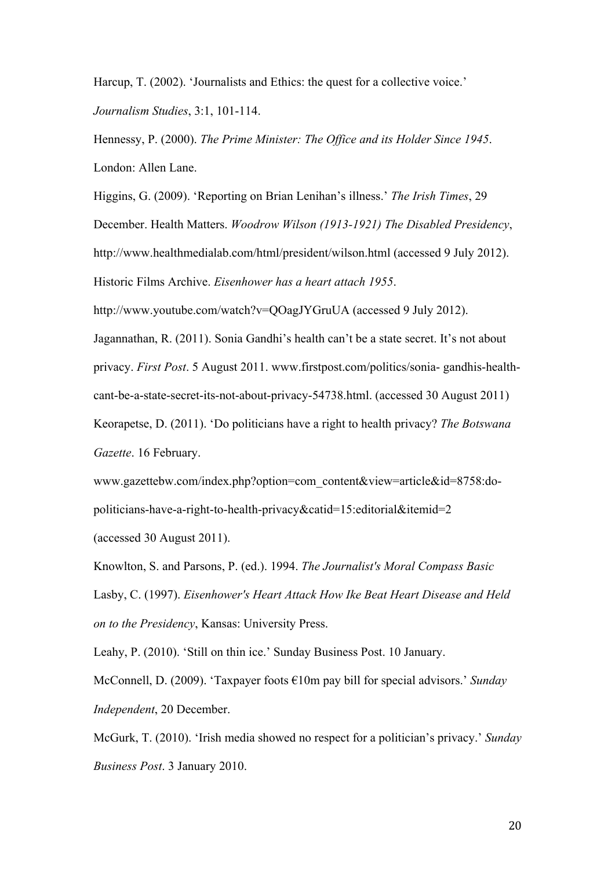Harcup, T. (2002). 'Journalists and Ethics: the quest for a collective voice.' *Journalism Studies*, 3:1, 101-114.

Hennessy, P. (2000). *The Prime Minister: The Office and its Holder Since 1945*. London: Allen Lane.

Higgins, G. (2009). 'Reporting on Brian Lenihan's illness.' *The Irish Times*, 29 December. Health Matters. *Woodrow Wilson (1913-1921) The Disabled Presidency*, http://www.healthmedialab.com/html/president/wilson.html (accessed 9 July 2012). Historic Films Archive. *Eisenhower has a heart attach 1955*.

http://www.youtube.com/watch?v=QOagJYGruUA (accessed 9 July 2012).

Jagannathan, R. (2011). Sonia Gandhi's health can't be a state secret. It's not about privacy. *First Post*. 5 August 2011. www.firstpost.com/politics/sonia- gandhis-healthcant-be-a-state-secret-its-not-about-privacy-54738.html. (accessed 30 August 2011) Keorapetse, D. (2011). 'Do politicians have a right to health privacy? *The Botswana Gazette*. 16 February.

www.gazettebw.com/index.php?option=com\_content&view=article&id=8758:dopoliticians-have-a-right-to-health-privacy&catid=15:editorial&itemid=2 (accessed 30 August 2011).

Knowlton, S. and Parsons, P. (ed.). 1994. *The Journalist's Moral Compass Basic*  Lasby, C. (1997). *Eisenhower's Heart Attack How Ike Beat Heart Disease and Held on to the Presidency*, Kansas: University Press.

Leahy, P. (2010). 'Still on thin ice.' Sunday Business Post. 10 January.

McConnell, D. (2009). 'Taxpayer foots €10m pay bill for special advisors.' *Sunday Independent*, 20 December.

McGurk, T. (2010). 'Irish media showed no respect for a politician's privacy.' *Sunday Business Post*. 3 January 2010.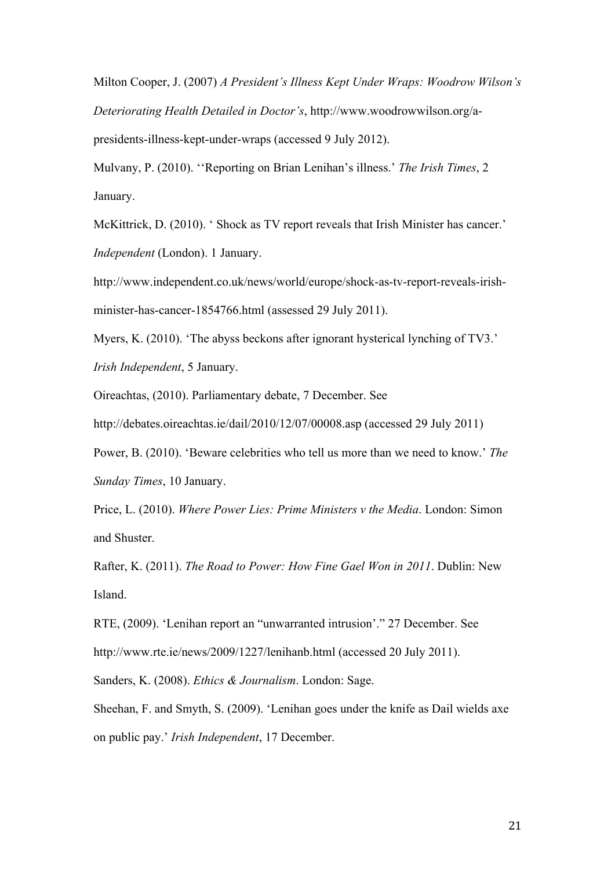Milton Cooper, J. (2007) *A President's Illness Kept Under Wraps: Woodrow Wilson's Deteriorating Health Detailed in Doctor's*, http://www.woodrowwilson.org/apresidents-illness-kept-under-wraps (accessed 9 July 2012).

Mulvany, P. (2010). ''Reporting on Brian Lenihan's illness.' *The Irish Times*, 2 January.

McKittrick, D. (2010). ' Shock as TV report reveals that Irish Minister has cancer.' *Independent* (London). 1 January.

http://www.independent.co.uk/news/world/europe/shock-as-tv-report-reveals-irishminister-has-cancer-1854766.html (assessed 29 July 2011).

Myers, K. (2010). 'The abyss beckons after ignorant hysterical lynching of TV3.' *Irish Independent*, 5 January.

Oireachtas, (2010). Parliamentary debate, 7 December. See

http://debates.oireachtas.ie/dail/2010/12/07/00008.asp (accessed 29 July 2011)

Power, B. (2010). 'Beware celebrities who tell us more than we need to know.' *The Sunday Times*, 10 January.

Price, L. (2010). *Where Power Lies: Prime Ministers v the Media*. London: Simon and Shuster.

Rafter, K. (2011). *The Road to Power: How Fine Gael Won in 2011*. Dublin: New Island.

RTE, (2009). 'Lenihan report an "unwarranted intrusion'." 27 December. See http://www.rte.ie/news/2009/1227/lenihanb.html (accessed 20 July 2011).

Sanders, K. (2008). *Ethics & Journalism*. London: Sage.

Sheehan, F. and Smyth, S. (2009). 'Lenihan goes under the knife as Dail wields axe on public pay.' *Irish Independent*, 17 December.